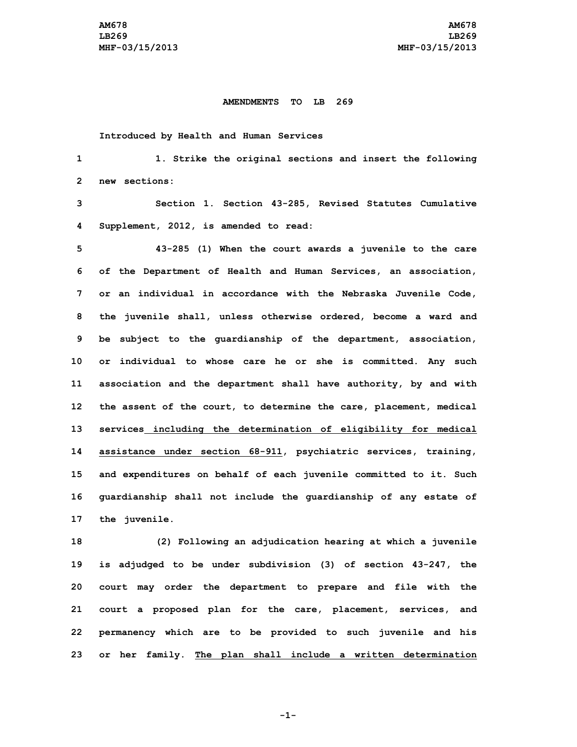## **AMENDMENTS TO LB 269**

## **Introduced by Health and Human Services**

 **1. Strike the original sections and insert the following new sections: Section 1. Section 43-285, Revised Statutes Cumulative Supplement, 2012, is amended to read: 43-285 (1) When the court awards <sup>a</sup> juvenile to the care of the Department of Health and Human Services, an association, or an individual in accordance with the Nebraska Juvenile Code, the juvenile shall, unless otherwise ordered, become <sup>a</sup> ward and be subject to the guardianship of the department, association, or individual to whose care he or she is committed. Any such association and the department shall have authority, by and with the assent of the court, to determine the care, placement, medical services including the determination of eligibility for medical assistance under section 68-911, psychiatric services, training, and expenditures on behalf of each juvenile committed to it. Such guardianship shall not include the guardianship of any estate of the juvenile.**

 **(2) Following an adjudication hearing at which <sup>a</sup> juvenile is adjudged to be under subdivision (3) of section 43-247, the court may order the department to prepare and file with the court <sup>a</sup> proposed plan for the care, placement, services, and permanency which are to be provided to such juvenile and his or her family. The plan shall include <sup>a</sup> written determination**

**-1-**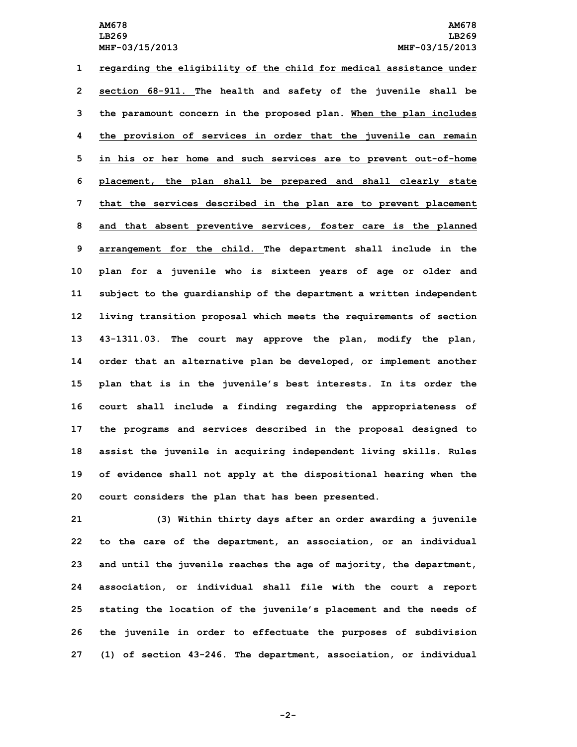**regarding the eligibility of the child for medical assistance under section 68-911. The health and safety of the juvenile shall be the paramount concern in the proposed plan. When the plan includes the provision of services in order that the juvenile can remain in his or her home and such services are to prevent out-of-home placement, the plan shall be prepared and shall clearly state that the services described in the plan are to prevent placement and that absent preventive services, foster care is the planned arrangement for the child. The department shall include in the plan for <sup>a</sup> juvenile who is sixteen years of age or older and subject to the guardianship of the department <sup>a</sup> written independent living transition proposal which meets the requirements of section 43-1311.03. The court may approve the plan, modify the plan, order that an alternative plan be developed, or implement another plan that is in the juvenile's best interests. In its order the court shall include <sup>a</sup> finding regarding the appropriateness of the programs and services described in the proposal designed to assist the juvenile in acquiring independent living skills. Rules of evidence shall not apply at the dispositional hearing when the court considers the plan that has been presented.**

 **(3) Within thirty days after an order awarding <sup>a</sup> juvenile to the care of the department, an association, or an individual and until the juvenile reaches the age of majority, the department, association, or individual shall file with the court <sup>a</sup> report stating the location of the juvenile's placement and the needs of the juvenile in order to effectuate the purposes of subdivision (1) of section 43-246. The department, association, or individual**

**-2-**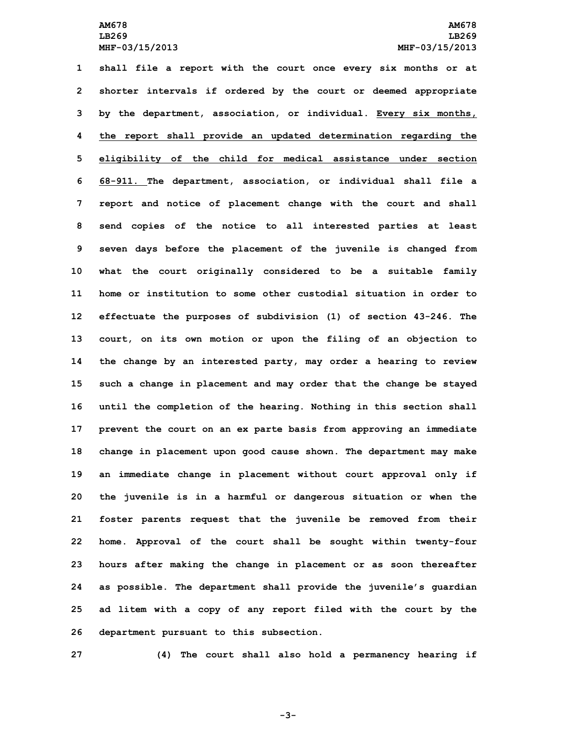**shall file <sup>a</sup> report with the court once every six months or at shorter intervals if ordered by the court or deemed appropriate by the department, association, or individual. Every six months, the report shall provide an updated determination regarding the eligibility of the child for medical assistance under section 68-911. The department, association, or individual shall file <sup>a</sup> report and notice of placement change with the court and shall send copies of the notice to all interested parties at least seven days before the placement of the juvenile is changed from what the court originally considered to be <sup>a</sup> suitable family home or institution to some other custodial situation in order to effectuate the purposes of subdivision (1) of section 43-246. The court, on its own motion or upon the filing of an objection to the change by an interested party, may order <sup>a</sup> hearing to review such <sup>a</sup> change in placement and may order that the change be stayed until the completion of the hearing. Nothing in this section shall prevent the court on an ex parte basis from approving an immediate change in placement upon good cause shown. The department may make an immediate change in placement without court approval only if the juvenile is in <sup>a</sup> harmful or dangerous situation or when the foster parents request that the juvenile be removed from their home. Approval of the court shall be sought within twenty-four hours after making the change in placement or as soon thereafter as possible. The department shall provide the juvenile's guardian ad litem with <sup>a</sup> copy of any report filed with the court by the department pursuant to this subsection.**

**27 (4) The court shall also hold <sup>a</sup> permanency hearing if**

**-3-**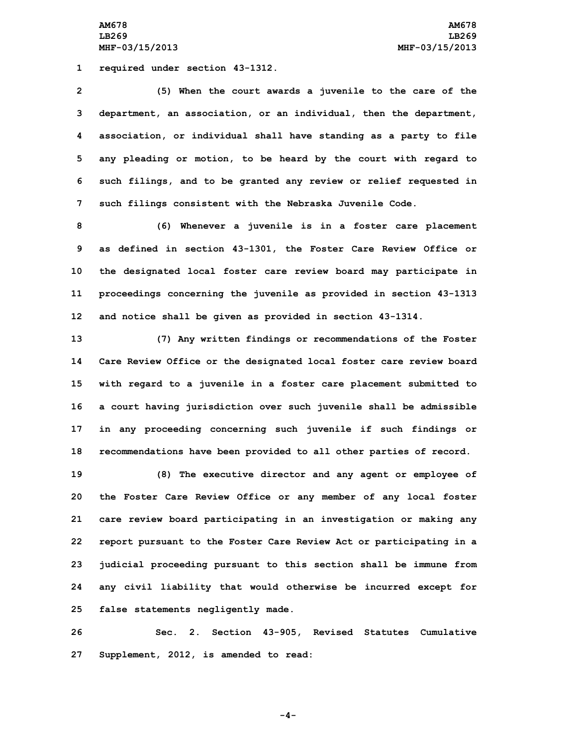**AM678 AM678 LB269 LB269 MHF-03/15/2013 MHF-03/15/2013**

**1 required under section 43-1312.**

 **(5) When the court awards <sup>a</sup> juvenile to the care of the department, an association, or an individual, then the department, association, or individual shall have standing as <sup>a</sup> party to file any pleading or motion, to be heard by the court with regard to such filings, and to be granted any review or relief requested in such filings consistent with the Nebraska Juvenile Code.**

 **(6) Whenever <sup>a</sup> juvenile is in <sup>a</sup> foster care placement as defined in section 43-1301, the Foster Care Review Office or the designated local foster care review board may participate in proceedings concerning the juvenile as provided in section 43-1313 and notice shall be given as provided in section 43-1314.**

 **(7) Any written findings or recommendations of the Foster Care Review Office or the designated local foster care review board with regard to <sup>a</sup> juvenile in <sup>a</sup> foster care placement submitted to <sup>a</sup> court having jurisdiction over such juvenile shall be admissible in any proceeding concerning such juvenile if such findings or recommendations have been provided to all other parties of record.**

 **(8) The executive director and any agent or employee of the Foster Care Review Office or any member of any local foster care review board participating in an investigation or making any report pursuant to the Foster Care Review Act or participating in <sup>a</sup> judicial proceeding pursuant to this section shall be immune from any civil liability that would otherwise be incurred except for false statements negligently made.**

**26 Sec. 2. Section 43-905, Revised Statutes Cumulative 27 Supplement, 2012, is amended to read:**

**-4-**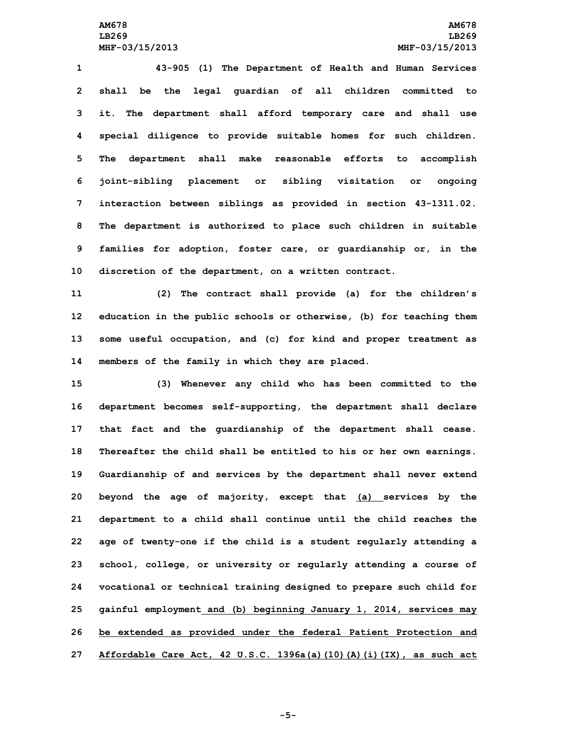**43-905 (1) The Department of Health and Human Services shall be the legal guardian of all children committed to it. The department shall afford temporary care and shall use special diligence to provide suitable homes for such children. The department shall make reasonable efforts to accomplish joint-sibling placement or sibling visitation or ongoing interaction between siblings as provided in section 43-1311.02. The department is authorized to place such children in suitable families for adoption, foster care, or guardianship or, in the discretion of the department, on <sup>a</sup> written contract.**

 **(2) The contract shall provide (a) for the children's education in the public schools or otherwise, (b) for teaching them some useful occupation, and (c) for kind and proper treatment as members of the family in which they are placed.**

 **(3) Whenever any child who has been committed to the department becomes self-supporting, the department shall declare that fact and the guardianship of the department shall cease. Thereafter the child shall be entitled to his or her own earnings. Guardianship of and services by the department shall never extend beyond the age of majority, except that (a) services by the department to <sup>a</sup> child shall continue until the child reaches the age of twenty-one if the child is <sup>a</sup> student regularly attending <sup>a</sup> school, college, or university or regularly attending <sup>a</sup> course of vocational or technical training designed to prepare such child for gainful employment and (b) beginning January 1, 2014, services may be extended as provided under the federal Patient Protection and Affordable Care Act, 42 U.S.C. 1396a(a)(10)(A)(i)(IX), as such act**

**-5-**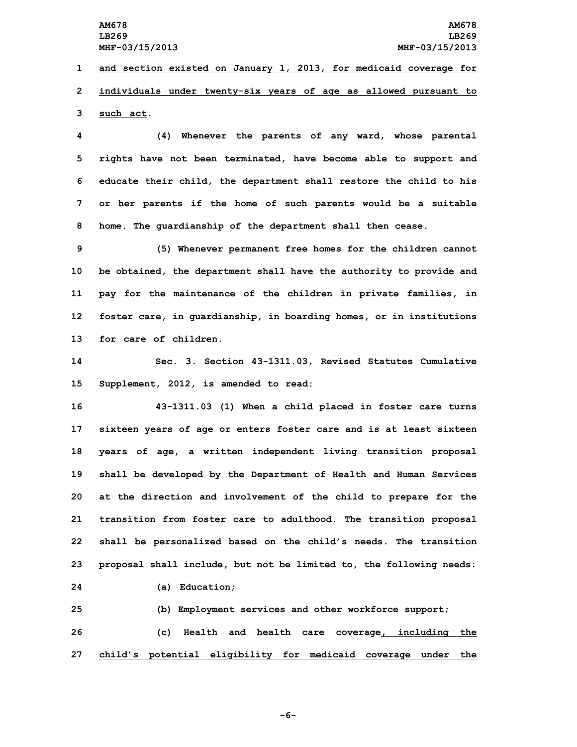**LB269 LB269**

**1 and section existed on January 1, 2013, for medicaid coverage for 2 individuals under twenty-six years of age as allowed pursuant to 3 such act.**

 **(4) Whenever the parents of any ward, whose parental rights have not been terminated, have become able to support and educate their child, the department shall restore the child to his or her parents if the home of such parents would be <sup>a</sup> suitable home. The guardianship of the department shall then cease.**

 **(5) Whenever permanent free homes for the children cannot be obtained, the department shall have the authority to provide and pay for the maintenance of the children in private families, in foster care, in guardianship, in boarding homes, or in institutions for care of children.**

**14 Sec. 3. Section 43-1311.03, Revised Statutes Cumulative 15 Supplement, 2012, is amended to read:**

 **43-1311.03 (1) When <sup>a</sup> child placed in foster care turns sixteen years of age or enters foster care and is at least sixteen years of age, <sup>a</sup> written independent living transition proposal shall be developed by the Department of Health and Human Services at the direction and involvement of the child to prepare for the transition from foster care to adulthood. The transition proposal shall be personalized based on the child's needs. The transition proposal shall include, but not be limited to, the following needs:**

**24 (a) Education;**

**25 (b) Employment services and other workforce support; 26 (c) Health and health care coverage, including the 27 child's potential eligibility for medicaid coverage under the**

**-6-**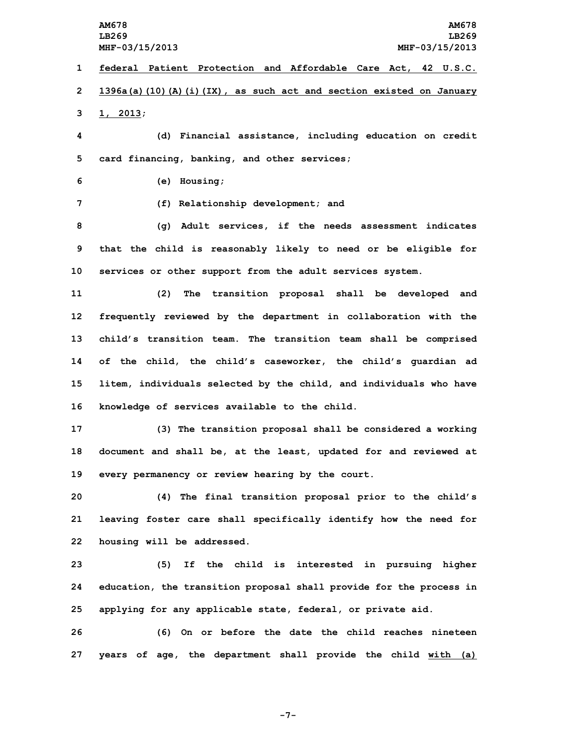**1 federal Patient Protection and Affordable Care Act, 42 U.S.C. 2 1396a(a)(10)(A)(i)(IX), as such act and section existed on January 3 1, 2013;**

**4 (d) Financial assistance, including education on credit 5 card financing, banking, and other services;**

**6 (e) Housing;**

**7 (f) Relationship development; and**

**8 (g) Adult services, if the needs assessment indicates 9 that the child is reasonably likely to need or be eligible for 10 services or other support from the adult services system.**

 **(2) The transition proposal shall be developed and frequently reviewed by the department in collaboration with the child's transition team. The transition team shall be comprised of the child, the child's caseworker, the child's guardian ad litem, individuals selected by the child, and individuals who have knowledge of services available to the child.**

**17 (3) The transition proposal shall be considered <sup>a</sup> working 18 document and shall be, at the least, updated for and reviewed at 19 every permanency or review hearing by the court.**

**20 (4) The final transition proposal prior to the child's 21 leaving foster care shall specifically identify how the need for 22 housing will be addressed.**

**23 (5) If the child is interested in pursuing higher 24 education, the transition proposal shall provide for the process in 25 applying for any applicable state, federal, or private aid.**

**26 (6) On or before the date the child reaches nineteen 27 years of age, the department shall provide the child with (a)**

**-7-**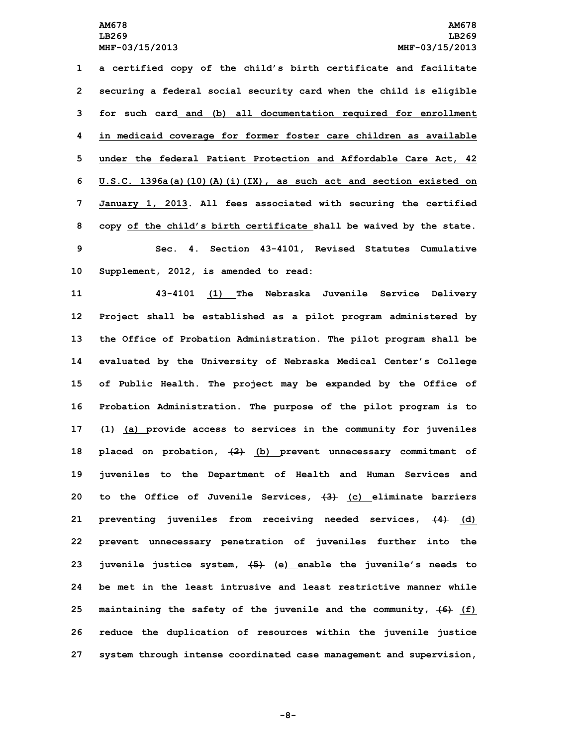**<sup>a</sup> certified copy of the child's birth certificate and facilitate securing <sup>a</sup> federal social security card when the child is eligible for such card and (b) all documentation required for enrollment in medicaid coverage for former foster care children as available under the federal Patient Protection and Affordable Care Act, 42 U.S.C. 1396a(a)(10)(A)(i)(IX), as such act and section existed on January 1, 2013. All fees associated with securing the certified copy of the child's birth certificate shall be waived by the state. Sec. 4. Section 43-4101, Revised Statutes Cumulative Supplement, 2012, is amended to read:**

 **43-4101 (1) The Nebraska Juvenile Service Delivery Project shall be established as <sup>a</sup> pilot program administered by the Office of Probation Administration. The pilot program shall be evaluated by the University of Nebraska Medical Center's College of Public Health. The project may be expanded by the Office of Probation Administration. The purpose of the pilot program is to (1) (a) provide access to services in the community for juveniles placed on probation, (2) (b) prevent unnecessary commitment of juveniles to the Department of Health and Human Services and to the Office of Juvenile Services, (3) (c) eliminate barriers preventing juveniles from receiving needed services, (4) (d) prevent unnecessary penetration of juveniles further into the juvenile justice system, (5) (e) enable the juvenile's needs to be met in the least intrusive and least restrictive manner while maintaining the safety of the juvenile and the community, (6) (f) reduce the duplication of resources within the juvenile justice system through intense coordinated case management and supervision,**

**-8-**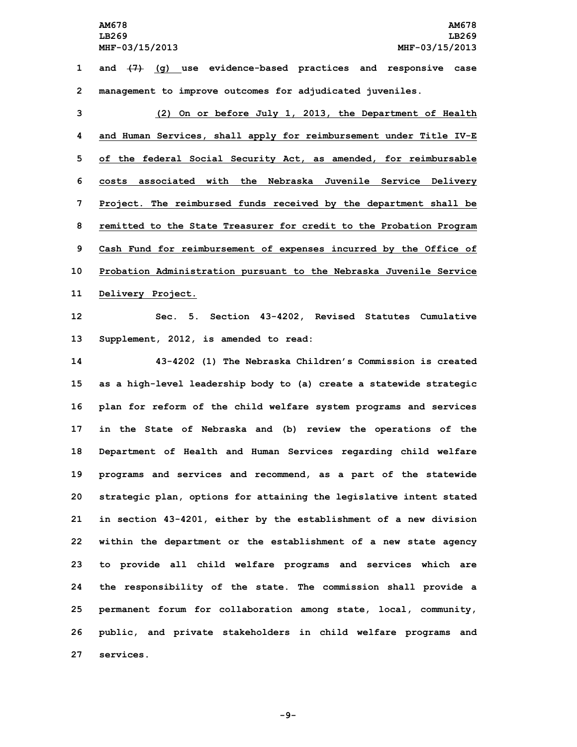**AM678 AM678 LB269 LB269 MHF-03/15/2013 MHF-03/15/2013 1 and (7) (g) use evidence-based practices and responsive case**

**2 management to improve outcomes for adjudicated juveniles.**

 **(2) On or before July 1, 2013, the Department of Health and Human Services, shall apply for reimbursement under Title IV-E of the federal Social Security Act, as amended, for reimbursable costs associated with the Nebraska Juvenile Service Delivery Project. The reimbursed funds received by the department shall be remitted to the State Treasurer for credit to the Probation Program Cash Fund for reimbursement of expenses incurred by the Office of Probation Administration pursuant to the Nebraska Juvenile Service Delivery Project.**

**12 Sec. 5. Section 43-4202, Revised Statutes Cumulative 13 Supplement, 2012, is amended to read:**

 **43-4202 (1) The Nebraska Children's Commission is created as <sup>a</sup> high-level leadership body to (a) create <sup>a</sup> statewide strategic plan for reform of the child welfare system programs and services in the State of Nebraska and (b) review the operations of the Department of Health and Human Services regarding child welfare programs and services and recommend, as <sup>a</sup> part of the statewide strategic plan, options for attaining the legislative intent stated in section 43-4201, either by the establishment of <sup>a</sup> new division within the department or the establishment of <sup>a</sup> new state agency to provide all child welfare programs and services which are the responsibility of the state. The commission shall provide <sup>a</sup> permanent forum for collaboration among state, local, community, public, and private stakeholders in child welfare programs and services.**

**-9-**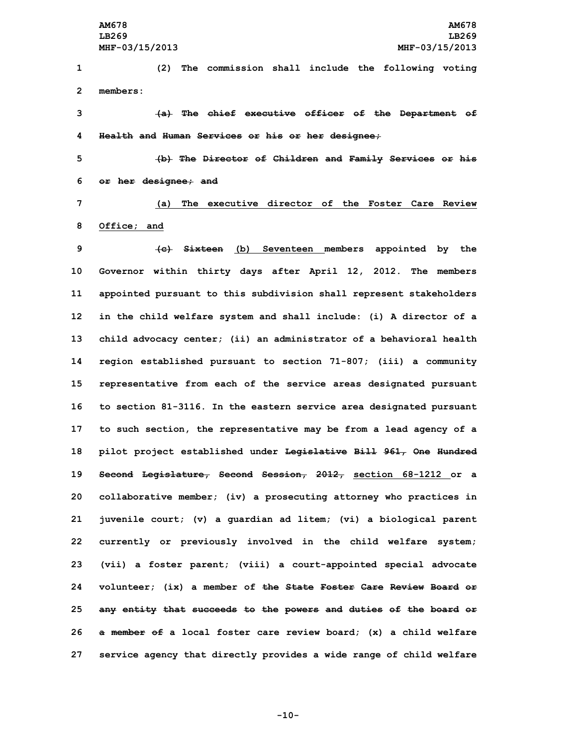**1 (2) The commission shall include the following voting 2 members:**

**3 (a) The chief executive officer of the Department of 4 Health and Human Services or his or her designee;**

**5 (b) The Director of Children and Family Services or his 6 or her designee; and**

**7 (a) The executive director of the Foster Care Review 8 Office; and**

 **(c) Sixteen (b) Seventeen members appointed by the Governor within thirty days after April 12, 2012. The members appointed pursuant to this subdivision shall represent stakeholders in the child welfare system and shall include: (i) <sup>A</sup> director of <sup>a</sup> child advocacy center; (ii) an administrator of <sup>a</sup> behavioral health region established pursuant to section 71-807; (iii) <sup>a</sup> community representative from each of the service areas designated pursuant to section 81-3116. In the eastern service area designated pursuant to such section, the representative may be from <sup>a</sup> lead agency of <sup>a</sup> pilot project established under Legislative Bill 961, One Hundred Second Legislature, Second Session, 2012, section 68-1212 or <sup>a</sup> collaborative member; (iv) <sup>a</sup> prosecuting attorney who practices in juvenile court; (v) <sup>a</sup> guardian ad litem; (vi) <sup>a</sup> biological parent currently or previously involved in the child welfare system; (vii) <sup>a</sup> foster parent; (viii) <sup>a</sup> court-appointed special advocate volunteer; (ix) <sup>a</sup> member of the State Foster Care Review Board or any entity that succeeds to the powers and duties of the board or <sup>a</sup> member of <sup>a</sup> local foster care review board; (x) <sup>a</sup> child welfare service agency that directly provides <sup>a</sup> wide range of child welfare**

**-10-**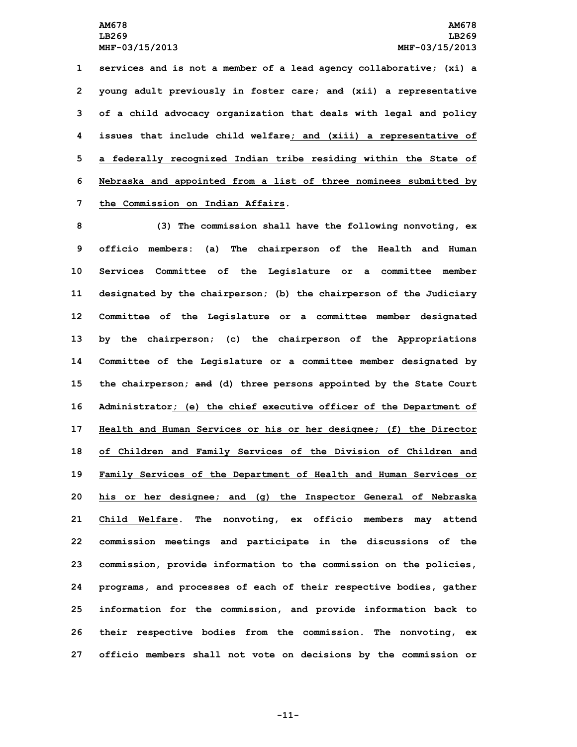**services and is not <sup>a</sup> member of <sup>a</sup> lead agency collaborative; (xi) <sup>a</sup> young adult previously in foster care; and (xii) <sup>a</sup> representative of <sup>a</sup> child advocacy organization that deals with legal and policy issues that include child welfare; and (xiii) <sup>a</sup> representative of <sup>a</sup> federally recognized Indian tribe residing within the State of Nebraska and appointed from <sup>a</sup> list of three nominees submitted by the Commission on Indian Affairs.**

 **(3) The commission shall have the following nonvoting, ex officio members: (a) The chairperson of the Health and Human Services Committee of the Legislature or <sup>a</sup> committee member designated by the chairperson; (b) the chairperson of the Judiciary Committee of the Legislature or <sup>a</sup> committee member designated by the chairperson; (c) the chairperson of the Appropriations Committee of the Legislature or <sup>a</sup> committee member designated by the chairperson; and (d) three persons appointed by the State Court Administrator; (e) the chief executive officer of the Department of Health and Human Services or his or her designee; (f) the Director of Children and Family Services of the Division of Children and Family Services of the Department of Health and Human Services or his or her designee; and (g) the Inspector General of Nebraska Child Welfare. The nonvoting, ex officio members may attend commission meetings and participate in the discussions of the commission, provide information to the commission on the policies, programs, and processes of each of their respective bodies, gather information for the commission, and provide information back to their respective bodies from the commission. The nonvoting, ex officio members shall not vote on decisions by the commission or**

**-11-**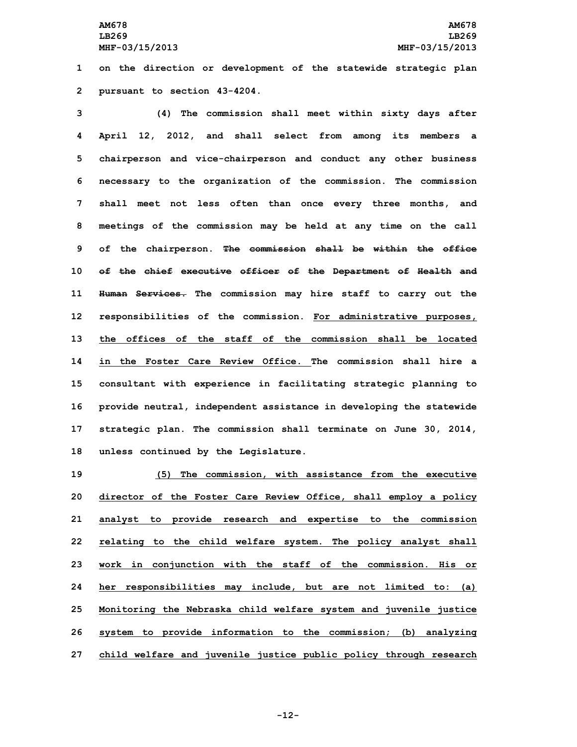**1 on the direction or development of the statewide strategic plan 2 pursuant to section 43-4204.**

 **(4) The commission shall meet within sixty days after April 12, 2012, and shall select from among its members <sup>a</sup> chairperson and vice-chairperson and conduct any other business necessary to the organization of the commission. The commission shall meet not less often than once every three months, and meetings of the commission may be held at any time on the call of the chairperson. The commission shall be within the office of the chief executive officer of the Department of Health and Human Services. The commission may hire staff to carry out the responsibilities of the commission. For administrative purposes, the offices of the staff of the commission shall be located in the Foster Care Review Office. The commission shall hire a consultant with experience in facilitating strategic planning to provide neutral, independent assistance in developing the statewide strategic plan. The commission shall terminate on June 30, 2014, unless continued by the Legislature.**

 **(5) The commission, with assistance from the executive director of the Foster Care Review Office, shall employ <sup>a</sup> policy analyst to provide research and expertise to the commission relating to the child welfare system. The policy analyst shall work in conjunction with the staff of the commission. His or her responsibilities may include, but are not limited to: (a) Monitoring the Nebraska child welfare system and juvenile justice system to provide information to the commission; (b) analyzing child welfare and juvenile justice public policy through research**

**-12-**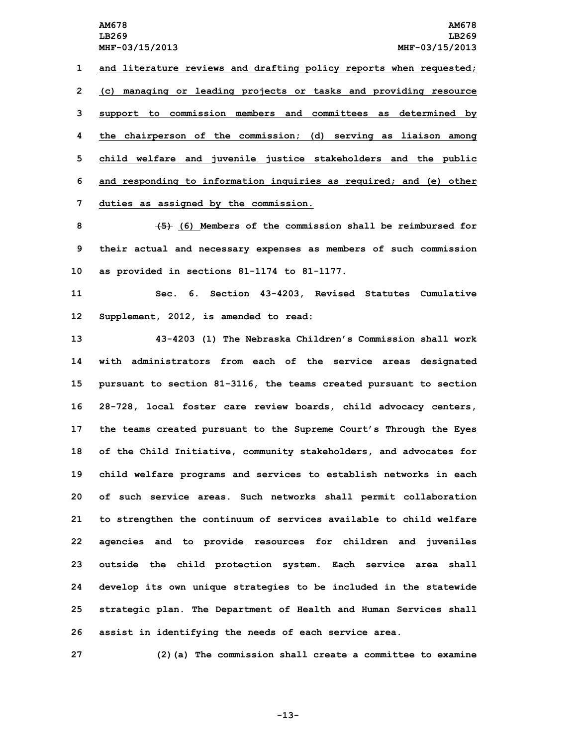**and literature reviews and drafting policy reports when requested; (c) managing or leading projects or tasks and providing resource support to commission members and committees as determined by the chairperson of the commission; (d) serving as liaison among child welfare and juvenile justice stakeholders and the public and responding to information inquiries as required; and (e) other duties as assigned by the commission.**

**8 (5) (6) Members of the commission shall be reimbursed for 9 their actual and necessary expenses as members of such commission 10 as provided in sections 81-1174 to 81-1177.**

**11 Sec. 6. Section 43-4203, Revised Statutes Cumulative 12 Supplement, 2012, is amended to read:**

 **43-4203 (1) The Nebraska Children's Commission shall work with administrators from each of the service areas designated pursuant to section 81-3116, the teams created pursuant to section 28-728, local foster care review boards, child advocacy centers, the teams created pursuant to the Supreme Court's Through the Eyes of the Child Initiative, community stakeholders, and advocates for child welfare programs and services to establish networks in each of such service areas. Such networks shall permit collaboration to strengthen the continuum of services available to child welfare agencies and to provide resources for children and juveniles outside the child protection system. Each service area shall develop its own unique strategies to be included in the statewide strategic plan. The Department of Health and Human Services shall assist in identifying the needs of each service area.**

**27 (2)(a) The commission shall create <sup>a</sup> committee to examine**

**-13-**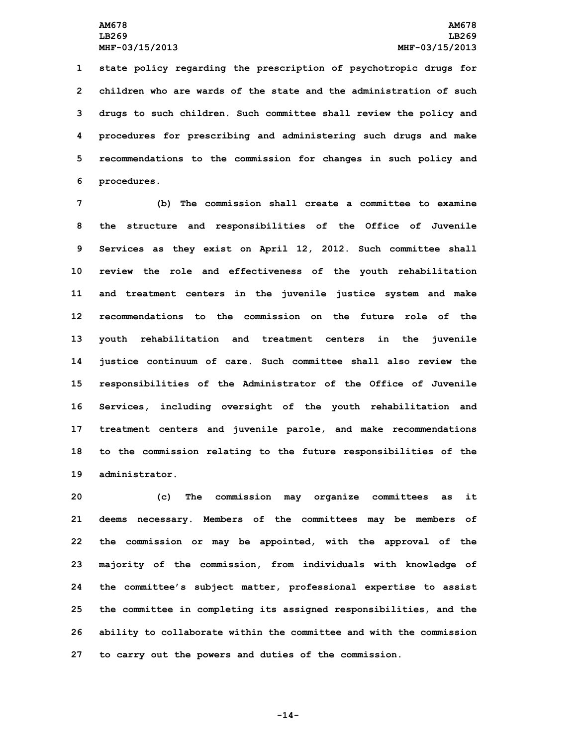**state policy regarding the prescription of psychotropic drugs for children who are wards of the state and the administration of such drugs to such children. Such committee shall review the policy and procedures for prescribing and administering such drugs and make recommendations to the commission for changes in such policy and procedures.**

 **(b) The commission shall create <sup>a</sup> committee to examine the structure and responsibilities of the Office of Juvenile Services as they exist on April 12, 2012. Such committee shall review the role and effectiveness of the youth rehabilitation and treatment centers in the juvenile justice system and make recommendations to the commission on the future role of the youth rehabilitation and treatment centers in the juvenile justice continuum of care. Such committee shall also review the responsibilities of the Administrator of the Office of Juvenile Services, including oversight of the youth rehabilitation and treatment centers and juvenile parole, and make recommendations to the commission relating to the future responsibilities of the administrator.**

 **(c) The commission may organize committees as it deems necessary. Members of the committees may be members of the commission or may be appointed, with the approval of the majority of the commission, from individuals with knowledge of the committee's subject matter, professional expertise to assist the committee in completing its assigned responsibilities, and the ability to collaborate within the committee and with the commission to carry out the powers and duties of the commission.**

**-14-**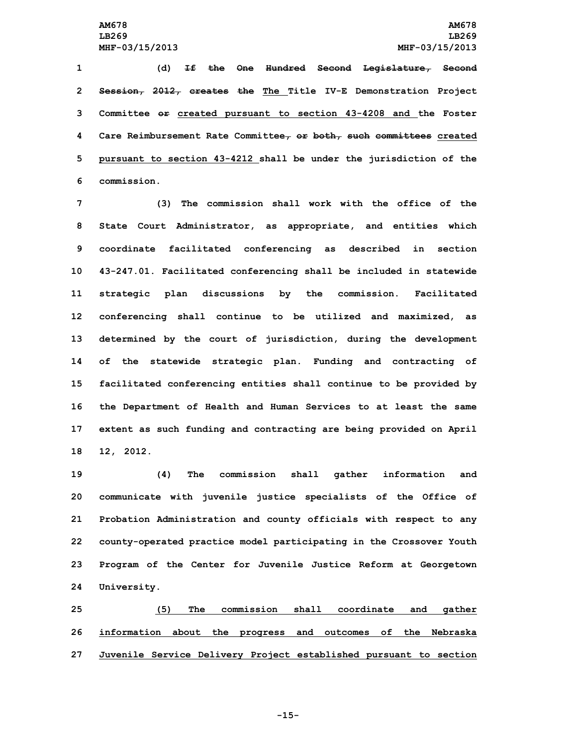**(d) If the One Hundred Second Legislature, Second Session, 2012, creates the The Title IV-E Demonstration Project Committee or created pursuant to section 43-4208 and the Foster Care Reimbursement Rate Committee, or both, such committees created pursuant to section 43-4212 shall be under the jurisdiction of the commission.**

 **(3) The commission shall work with the office of the State Court Administrator, as appropriate, and entities which coordinate facilitated conferencing as described in section 43-247.01. Facilitated conferencing shall be included in statewide strategic plan discussions by the commission. Facilitated conferencing shall continue to be utilized and maximized, as determined by the court of jurisdiction, during the development of the statewide strategic plan. Funding and contracting of facilitated conferencing entities shall continue to be provided by the Department of Health and Human Services to at least the same extent as such funding and contracting are being provided on April 12, 2012.**

 **(4) The commission shall gather information and communicate with juvenile justice specialists of the Office of Probation Administration and county officials with respect to any county-operated practice model participating in the Crossover Youth Program of the Center for Juvenile Justice Reform at Georgetown University.**

**25 (5) The commission shall coordinate and gather 26 information about the progress and outcomes of the Nebraska 27 Juvenile Service Delivery Project established pursuant to section**

**-15-**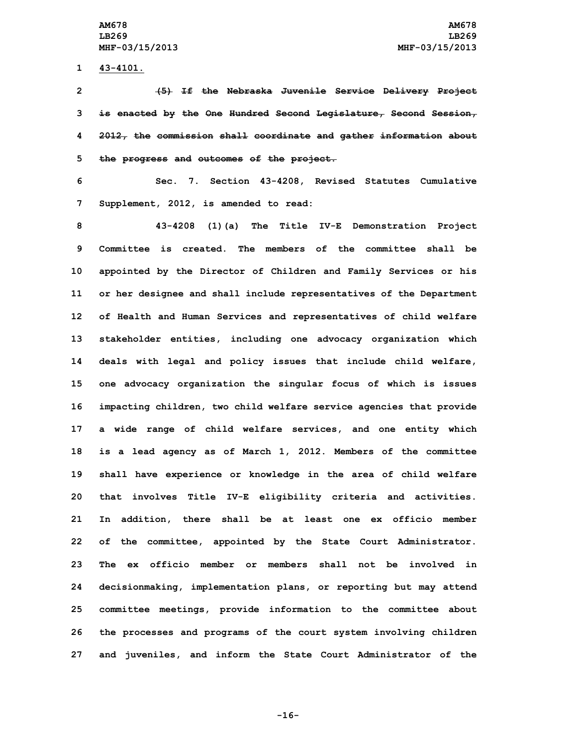**1 43-4101.**

 **(5) If the Nebraska Juvenile Service Delivery Project is enacted by the One Hundred Second Legislature, Second Session, 2012, the commission shall coordinate and gather information about the progress and outcomes of the project.**

**6 Sec. 7. Section 43-4208, Revised Statutes Cumulative 7 Supplement, 2012, is amended to read:**

 **43-4208 (1)(a) The Title IV-E Demonstration Project Committee is created. The members of the committee shall be appointed by the Director of Children and Family Services or his or her designee and shall include representatives of the Department of Health and Human Services and representatives of child welfare stakeholder entities, including one advocacy organization which deals with legal and policy issues that include child welfare, one advocacy organization the singular focus of which is issues impacting children, two child welfare service agencies that provide <sup>a</sup> wide range of child welfare services, and one entity which is <sup>a</sup> lead agency as of March 1, 2012. Members of the committee shall have experience or knowledge in the area of child welfare that involves Title IV-E eligibility criteria and activities. In addition, there shall be at least one ex officio member of the committee, appointed by the State Court Administrator. The ex officio member or members shall not be involved in decisionmaking, implementation plans, or reporting but may attend committee meetings, provide information to the committee about the processes and programs of the court system involving children and juveniles, and inform the State Court Administrator of the**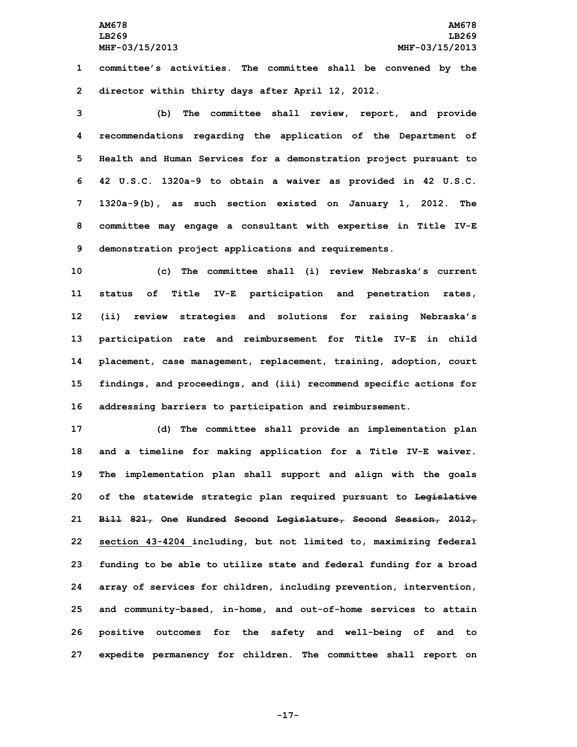**1 committee's activities. The committee shall be convened by the 2 director within thirty days after April 12, 2012.**

 **(b) The committee shall review, report, and provide recommendations regarding the application of the Department of Health and Human Services for <sup>a</sup> demonstration project pursuant to 42 U.S.C. 1320a-9 to obtain <sup>a</sup> waiver as provided in 42 U.S.C. 1320a-9(b), as such section existed on January 1, 2012. The committee may engage <sup>a</sup> consultant with expertise in Title IV-E demonstration project applications and requirements.**

 **(c) The committee shall (i) review Nebraska's current status of Title IV-E participation and penetration rates, (ii) review strategies and solutions for raising Nebraska's participation rate and reimbursement for Title IV-E in child placement, case management, replacement, training, adoption, court findings, and proceedings, and (iii) recommend specific actions for addressing barriers to participation and reimbursement.**

 **(d) The committee shall provide an implementation plan and <sup>a</sup> timeline for making application for <sup>a</sup> Title IV-E waiver. The implementation plan shall support and align with the goals of the statewide strategic plan required pursuant to Legislative Bill 821, One Hundred Second Legislature, Second Session, 2012, section 43-4204 including, but not limited to, maximizing federal funding to be able to utilize state and federal funding for <sup>a</sup> broad array of services for children, including prevention, intervention, and community-based, in-home, and out-of-home services to attain positive outcomes for the safety and well-being of and to expedite permanency for children. The committee shall report on**

**-17-**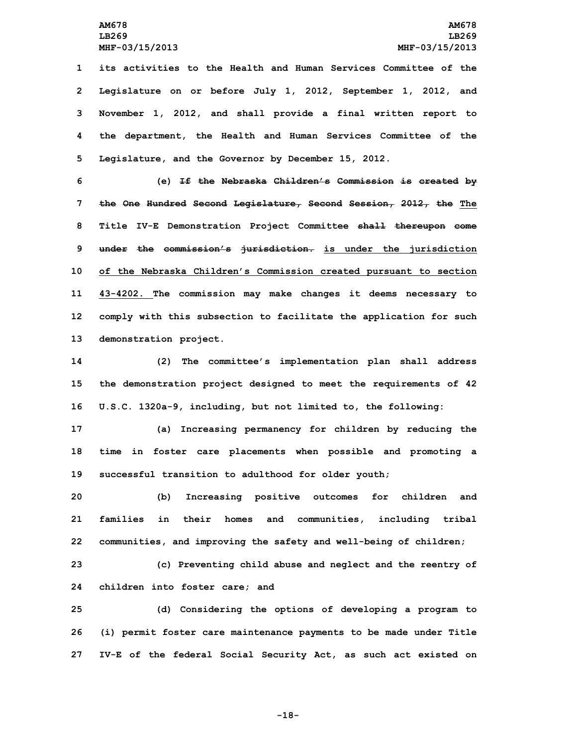**its activities to the Health and Human Services Committee of the Legislature on or before July 1, 2012, September 1, 2012, and November 1, 2012, and shall provide <sup>a</sup> final written report to the department, the Health and Human Services Committee of the Legislature, and the Governor by December 15, 2012.**

 **(e) If the Nebraska Children's Commission is created by the One Hundred Second Legislature, Second Session, 2012, the The Title IV-E Demonstration Project Committee shall thereupon come under the commission's jurisdiction. is under the jurisdiction of the Nebraska Children's Commission created pursuant to section 43-4202. The commission may make changes it deems necessary to comply with this subsection to facilitate the application for such demonstration project.**

**14 (2) The committee's implementation plan shall address 15 the demonstration project designed to meet the requirements of 42 16 U.S.C. 1320a-9, including, but not limited to, the following:**

**17 (a) Increasing permanency for children by reducing the 18 time in foster care placements when possible and promoting <sup>a</sup> 19 successful transition to adulthood for older youth;**

**20 (b) Increasing positive outcomes for children and 21 families in their homes and communities, including tribal 22 communities, and improving the safety and well-being of children;**

**23 (c) Preventing child abuse and neglect and the reentry of 24 children into foster care; and**

**25 (d) Considering the options of developing <sup>a</sup> program to 26 (i) permit foster care maintenance payments to be made under Title 27 IV-E of the federal Social Security Act, as such act existed on**

**-18-**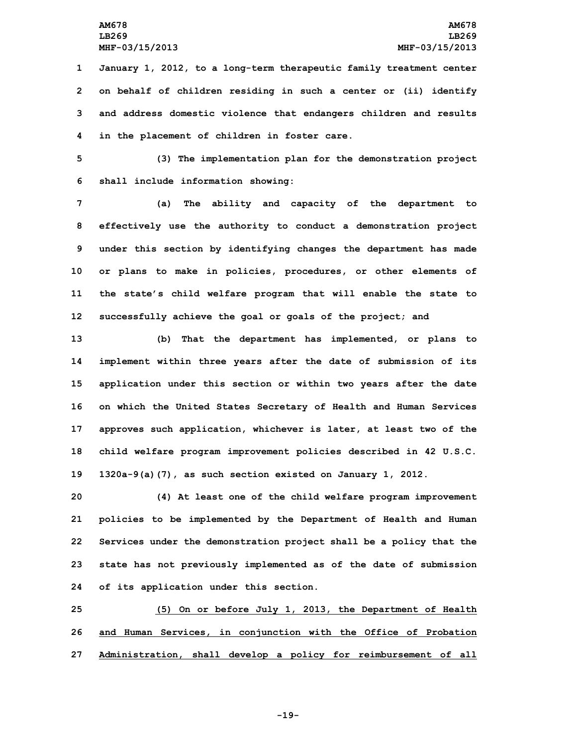**January 1, 2012, to <sup>a</sup> long-term therapeutic family treatment center on behalf of children residing in such <sup>a</sup> center or (ii) identify and address domestic violence that endangers children and results in the placement of children in foster care.**

**5 (3) The implementation plan for the demonstration project 6 shall include information showing:**

 **(a) The ability and capacity of the department to effectively use the authority to conduct <sup>a</sup> demonstration project under this section by identifying changes the department has made or plans to make in policies, procedures, or other elements of the state's child welfare program that will enable the state to successfully achieve the goal or goals of the project; and**

 **(b) That the department has implemented, or plans to implement within three years after the date of submission of its application under this section or within two years after the date on which the United States Secretary of Health and Human Services approves such application, whichever is later, at least two of the child welfare program improvement policies described in 42 U.S.C. 1320a-9(a)(7), as such section existed on January 1, 2012.**

 **(4) At least one of the child welfare program improvement policies to be implemented by the Department of Health and Human Services under the demonstration project shall be <sup>a</sup> policy that the state has not previously implemented as of the date of submission of its application under this section.**

**25 (5) On or before July 1, 2013, the Department of Health 26 and Human Services, in conjunction with the Office of Probation 27 Administration, shall develop <sup>a</sup> policy for reimbursement of all**

**-19-**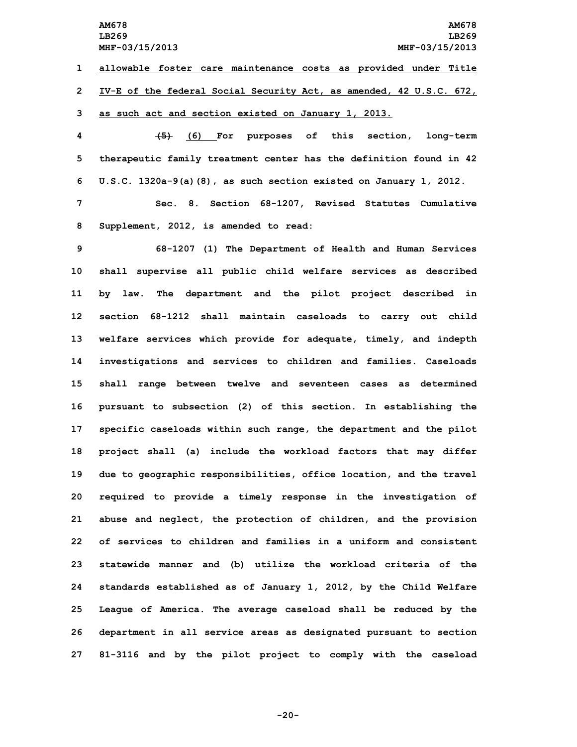**AM678 AM678 LB269 LB269 MHF-03/15/2013 MHF-03/15/2013 allowable foster care maintenance costs as provided under Title IV-E of the federal Social Security Act, as amended, 42 U.S.C. 672, as such act and section existed on January 1, 2013. (5) (6) For purposes of this section, long-term therapeutic family treatment center has the definition found in 42 U.S.C. 1320a-9(a)(8), as such section existed on January 1, 2012. Sec. 8. Section 68-1207, Revised Statutes Cumulative Supplement, 2012, is amended to read: 68-1207 (1) The Department of Health and Human Services shall supervise all public child welfare services as described by law. The department and the pilot project described in section 68-1212 shall maintain caseloads to carry out child welfare services which provide for adequate, timely, and indepth investigations and services to children and families. Caseloads shall range between twelve and seventeen cases as determined pursuant to subsection (2) of this section. In establishing the specific caseloads within such range, the department and the pilot project shall (a) include the workload factors that may differ due to geographic responsibilities, office location, and the travel required to provide <sup>a</sup> timely response in the investigation of abuse and neglect, the protection of children, and the provision of services to children and families in a uniform and consistent statewide manner and (b) utilize the workload criteria of the standards established as of January 1, 2012, by the Child Welfare League of America. The average caseload shall be reduced by the department in all service areas as designated pursuant to section**

**27 81-3116 and by the pilot project to comply with the caseload**

**-20-**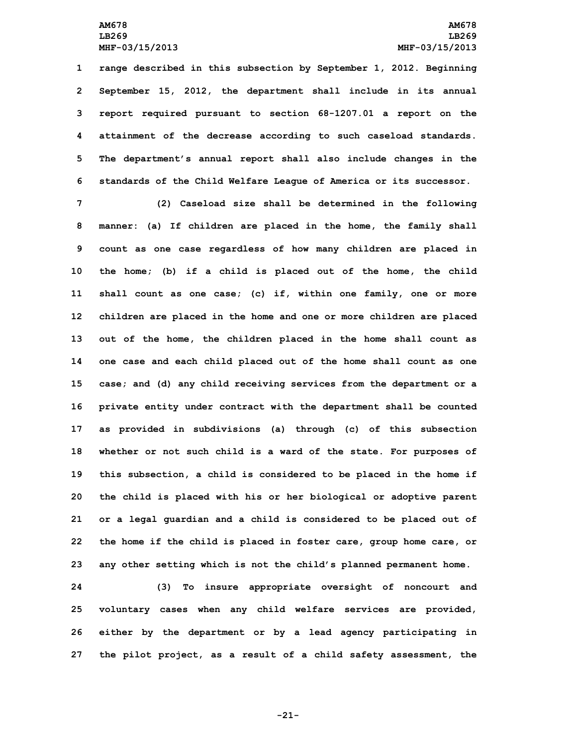**range described in this subsection by September 1, 2012. Beginning September 15, 2012, the department shall include in its annual report required pursuant to section 68-1207.01 <sup>a</sup> report on the attainment of the decrease according to such caseload standards. The department's annual report shall also include changes in the standards of the Child Welfare League of America or its successor.**

 **(2) Caseload size shall be determined in the following manner: (a) If children are placed in the home, the family shall count as one case regardless of how many children are placed in the home; (b) if <sup>a</sup> child is placed out of the home, the child shall count as one case; (c) if, within one family, one or more children are placed in the home and one or more children are placed out of the home, the children placed in the home shall count as one case and each child placed out of the home shall count as one case; and (d) any child receiving services from the department or <sup>a</sup> private entity under contract with the department shall be counted as provided in subdivisions (a) through (c) of this subsection whether or not such child is <sup>a</sup> ward of the state. For purposes of this subsection, <sup>a</sup> child is considered to be placed in the home if the child is placed with his or her biological or adoptive parent or <sup>a</sup> legal guardian and <sup>a</sup> child is considered to be placed out of the home if the child is placed in foster care, group home care, or any other setting which is not the child's planned permanent home.**

 **(3) To insure appropriate oversight of noncourt and voluntary cases when any child welfare services are provided, either by the department or by <sup>a</sup> lead agency participating in the pilot project, as <sup>a</sup> result of <sup>a</sup> child safety assessment, the**

**-21-**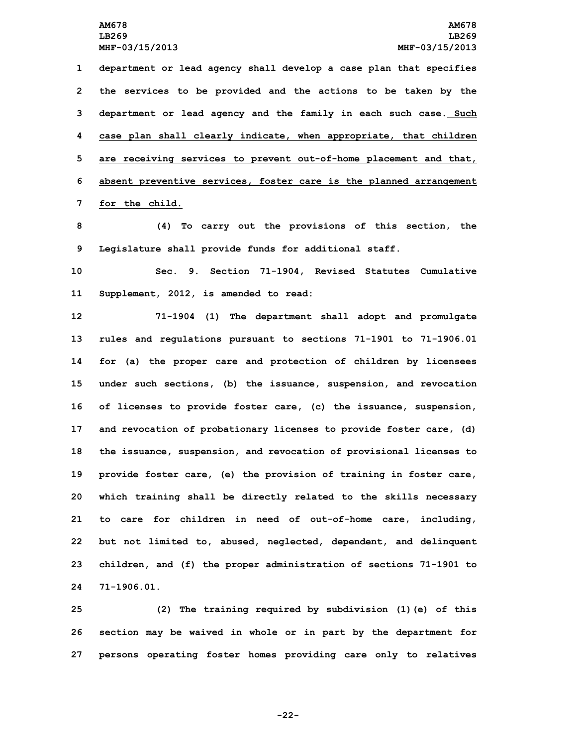**department or lead agency shall develop <sup>a</sup> case plan that specifies the services to be provided and the actions to be taken by the department or lead agency and the family in each such case. Such case plan shall clearly indicate, when appropriate, that children are receiving services to prevent out-of-home placement and that, absent preventive services, foster care is the planned arrangement for the child.**

**8 (4) To carry out the provisions of this section, the 9 Legislature shall provide funds for additional staff.**

**10 Sec. 9. Section 71-1904, Revised Statutes Cumulative 11 Supplement, 2012, is amended to read:**

 **71-1904 (1) The department shall adopt and promulgate rules and regulations pursuant to sections 71-1901 to 71-1906.01 for (a) the proper care and protection of children by licensees under such sections, (b) the issuance, suspension, and revocation of licenses to provide foster care, (c) the issuance, suspension, and revocation of probationary licenses to provide foster care, (d) the issuance, suspension, and revocation of provisional licenses to provide foster care, (e) the provision of training in foster care, which training shall be directly related to the skills necessary to care for children in need of out-of-home care, including, but not limited to, abused, neglected, dependent, and delinquent children, and (f) the proper administration of sections 71-1901 to 71-1906.01.**

**25 (2) The training required by subdivision (1)(e) of this 26 section may be waived in whole or in part by the department for 27 persons operating foster homes providing care only to relatives**

**-22-**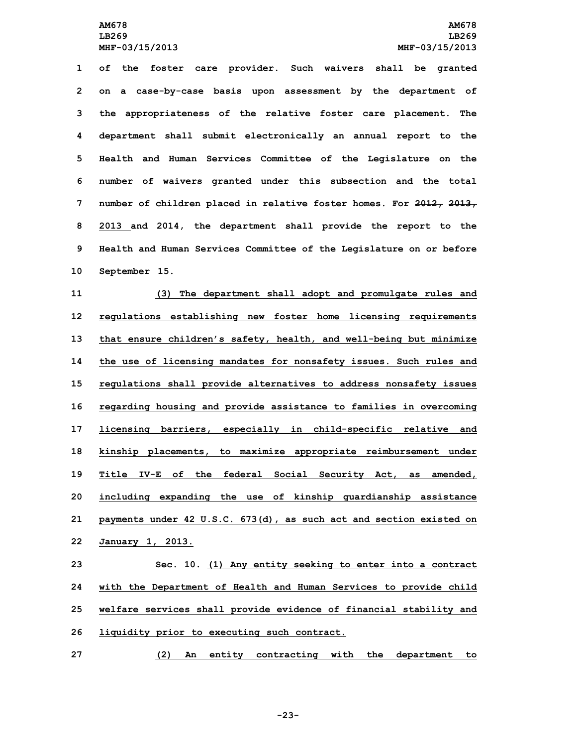**of the foster care provider. Such waivers shall be granted on <sup>a</sup> case-by-case basis upon assessment by the department of the appropriateness of the relative foster care placement. The department shall submit electronically an annual report to the Health and Human Services Committee of the Legislature on the number of waivers granted under this subsection and the total number of children placed in relative foster homes. For 2012, 2013, 2013 and 2014, the department shall provide the report to the Health and Human Services Committee of the Legislature on or before September 15.**

 **(3) The department shall adopt and promulgate rules and regulations establishing new foster home licensing requirements that ensure children's safety, health, and well-being but minimize the use of licensing mandates for nonsafety issues. Such rules and regulations shall provide alternatives to address nonsafety issues regarding housing and provide assistance to families in overcoming licensing barriers, especially in child-specific relative and kinship placements, to maximize appropriate reimbursement under Title IV-E of the federal Social Security Act, as amended, including expanding the use of kinship guardianship assistance payments under 42 U.S.C. 673(d), as such act and section existed on January 1, 2013.**

 **Sec. 10. (1) Any entity seeking to enter into <sup>a</sup> contract with the Department of Health and Human Services to provide child welfare services shall provide evidence of financial stability and liquidity prior to executing such contract.**

**27 (2) An entity contracting with the department to**

**-23-**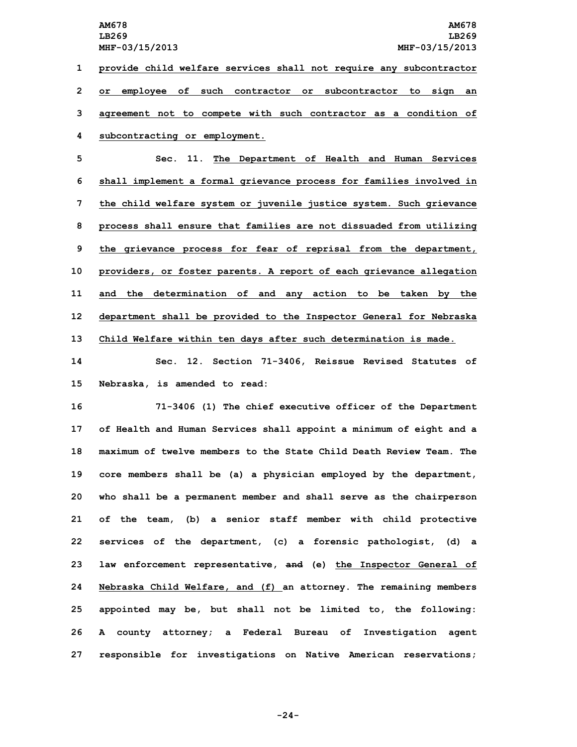**LB269 LB269**

 **provide child welfare services shall not require any subcontractor or employee of such contractor or subcontractor to sign an agreement not to compete with such contractor as <sup>a</sup> condition of subcontracting or employment.**

 **Sec. 11. The Department of Health and Human Services shall implement <sup>a</sup> formal grievance process for families involved in the child welfare system or juvenile justice system. Such grievance process shall ensure that families are not dissuaded from utilizing the grievance process for fear of reprisal from the department, providers, or foster parents. <sup>A</sup> report of each grievance allegation and the determination of and any action to be taken by the department shall be provided to the Inspector General for Nebraska Child Welfare within ten days after such determination is made.**

**14 Sec. 12. Section 71-3406, Reissue Revised Statutes of 15 Nebraska, is amended to read:**

 **71-3406 (1) The chief executive officer of the Department of Health and Human Services shall appoint <sup>a</sup> minimum of eight and <sup>a</sup> maximum of twelve members to the State Child Death Review Team. The core members shall be (a) <sup>a</sup> physician employed by the department, who shall be <sup>a</sup> permanent member and shall serve as the chairperson of the team, (b) <sup>a</sup> senior staff member with child protective services of the department, (c) <sup>a</sup> forensic pathologist, (d) <sup>a</sup> law enforcement representative, and (e) the Inspector General of Nebraska Child Welfare, and (f) an attorney. The remaining members appointed may be, but shall not be limited to, the following: <sup>A</sup> county attorney; <sup>a</sup> Federal Bureau of Investigation agent responsible for investigations on Native American reservations;**

**-24-**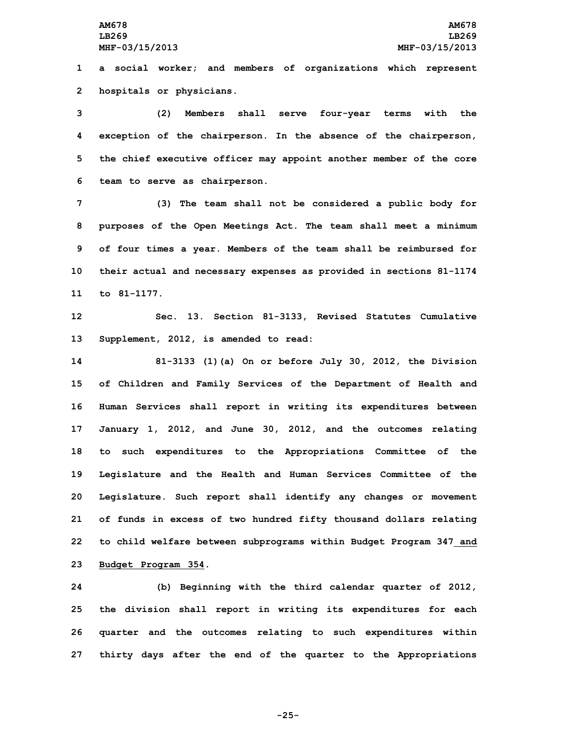**1 <sup>a</sup> social worker; and members of organizations which represent 2 hospitals or physicians.**

 **(2) Members shall serve four-year terms with the exception of the chairperson. In the absence of the chairperson, the chief executive officer may appoint another member of the core team to serve as chairperson.**

 **(3) The team shall not be considered <sup>a</sup> public body for purposes of the Open Meetings Act. The team shall meet <sup>a</sup> minimum of four times <sup>a</sup> year. Members of the team shall be reimbursed for their actual and necessary expenses as provided in sections 81-1174 to 81-1177.**

**12 Sec. 13. Section 81-3133, Revised Statutes Cumulative 13 Supplement, 2012, is amended to read:**

 **81-3133 (1)(a) On or before July 30, 2012, the Division of Children and Family Services of the Department of Health and Human Services shall report in writing its expenditures between January 1, 2012, and June 30, 2012, and the outcomes relating to such expenditures to the Appropriations Committee of the Legislature and the Health and Human Services Committee of the Legislature. Such report shall identify any changes or movement of funds in excess of two hundred fifty thousand dollars relating to child welfare between subprograms within Budget Program 347 and Budget Program 354.**

 **(b) Beginning with the third calendar quarter of 2012, the division shall report in writing its expenditures for each quarter and the outcomes relating to such expenditures within thirty days after the end of the quarter to the Appropriations**

**-25-**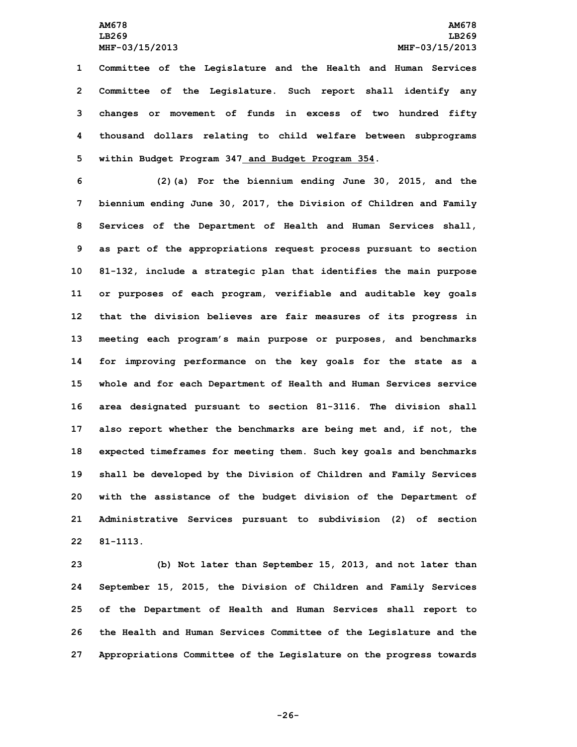**Committee of the Legislature and the Health and Human Services Committee of the Legislature. Such report shall identify any changes or movement of funds in excess of two hundred fifty thousand dollars relating to child welfare between subprograms within Budget Program 347 and Budget Program 354.**

 **(2)(a) For the biennium ending June 30, 2015, and the biennium ending June 30, 2017, the Division of Children and Family Services of the Department of Health and Human Services shall, as part of the appropriations request process pursuant to section 81-132, include <sup>a</sup> strategic plan that identifies the main purpose or purposes of each program, verifiable and auditable key goals that the division believes are fair measures of its progress in meeting each program's main purpose or purposes, and benchmarks for improving performance on the key goals for the state as <sup>a</sup> whole and for each Department of Health and Human Services service area designated pursuant to section 81-3116. The division shall also report whether the benchmarks are being met and, if not, the expected timeframes for meeting them. Such key goals and benchmarks shall be developed by the Division of Children and Family Services with the assistance of the budget division of the Department of Administrative Services pursuant to subdivision (2) of section 22 81-1113.**

 **(b) Not later than September 15, 2013, and not later than September 15, 2015, the Division of Children and Family Services of the Department of Health and Human Services shall report to the Health and Human Services Committee of the Legislature and the Appropriations Committee of the Legislature on the progress towards**

**-26-**